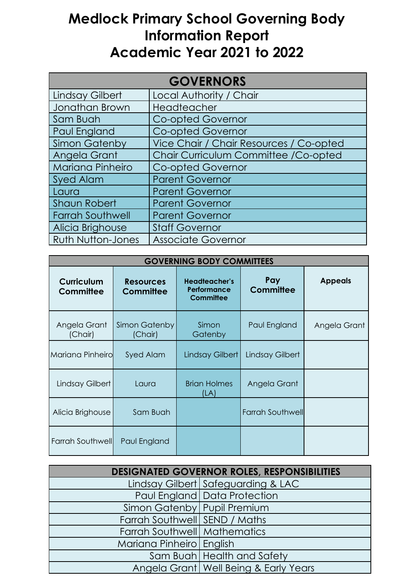## **Medlock Primary School Governing Body Information Report Academic Year 2021 to 2022**

| <b>GOVERNORS</b>         |                                         |  |
|--------------------------|-----------------------------------------|--|
| <b>Lindsay Gilbert</b>   | Local Authority / Chair                 |  |
| Jonathan Brown           | Headteacher                             |  |
| Sam Buah                 | <b>Co-opted Governor</b>                |  |
| Paul England             | <b>Co-opted Governor</b>                |  |
| <b>Simon Gatenby</b>     | Vice Chair / Chair Resources / Co-opted |  |
| Angela Grant             | Chair Curriculum Committee / Co-opted   |  |
| <b>Mariana Pinheiro</b>  | <b>Co-opted Governor</b>                |  |
| <b>Syed Alam</b>         | <b>Parent Governor</b>                  |  |
| Laura                    | <b>Parent Governor</b>                  |  |
| <b>Shaun Robert</b>      | <b>Parent Governor</b>                  |  |
| <b>Farrah Southwell</b>  | <b>Parent Governor</b>                  |  |
| Alicia Brighouse         | <b>Staff Governor</b>                   |  |
| <b>Ruth Nutton-Jones</b> | <b>Associate Governor</b>               |  |

| <b>GOVERNING BODY COMMITTEES</b> |                                      |                                                         |                         |                |
|----------------------------------|--------------------------------------|---------------------------------------------------------|-------------------------|----------------|
| <b>Curriculum</b><br>Committee   | <b>Resources</b><br><b>Committee</b> | <b>Headteacher's</b><br>Performance<br><b>Committee</b> | Pay<br><b>Committee</b> | <b>Appeals</b> |
| Angela Grant<br>(Chair)          | Simon Gatenby<br>(Chair)             | Simon<br>Gatenby                                        | Paul England            | Angela Grant   |
| Mariana Pinheirol                | Syed Alam                            | Lindsay Gilbert                                         | Lindsay Gilbert         |                |
| Lindsay Gilbert                  | Laura                                | <b>Brian Holmes</b><br>(LA)                             | Angela Grant            |                |
| Alicia Brighouse                 | Sam Buah                             |                                                         | <b>Farrah Southwell</b> |                |
| Farrah Southwell                 | Paul England                         |                                                         |                         |                |

| <b>DESIGNATED GOVERNOR ROLES, RESPONSIBILITIES</b> |                                         |  |
|----------------------------------------------------|-----------------------------------------|--|
|                                                    | Lindsay Gilbert   Safeguarding & LAC    |  |
|                                                    | Paul England   Data Protection          |  |
| Simon Gatenby Pupil Premium                        |                                         |  |
| Farrah Southwell SEND / Maths                      |                                         |  |
| Farrah Southwell Mathematics                       |                                         |  |
| Mariana Pinheiro   English                         |                                         |  |
|                                                    | Sam Buah Health and Safety              |  |
|                                                    | Angela Grant   Well Being & Early Years |  |